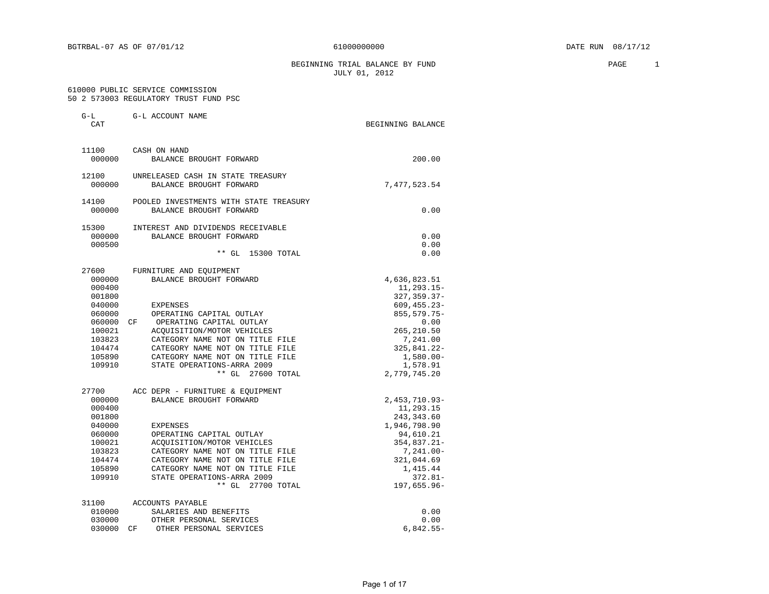BEGINNING TRIAL BALANCE BY FUND **PAGE** 2 JULY 01, 2012

#### 610000 PUBLIC SERVICE COMMISSION 50 2 573003 REGULATORY TRUST FUND PSC

| G-L<br>CAT                                                                                                          | G-L ACCOUNT NAME                                                                                                                                                                                                                                                                                                    | BEGINNING BALANCE                                                                                                                                                            |
|---------------------------------------------------------------------------------------------------------------------|---------------------------------------------------------------------------------------------------------------------------------------------------------------------------------------------------------------------------------------------------------------------------------------------------------------------|------------------------------------------------------------------------------------------------------------------------------------------------------------------------------|
| 11100<br>000000                                                                                                     | CASH ON HAND<br>BALANCE BROUGHT FORWARD                                                                                                                                                                                                                                                                             | 200.00                                                                                                                                                                       |
| 12100<br>000000                                                                                                     | UNRELEASED CASH IN STATE TREASURY<br>BALANCE BROUGHT FORWARD                                                                                                                                                                                                                                                        | 7,477,523.54                                                                                                                                                                 |
| 14100<br>000000                                                                                                     | POOLED INVESTMENTS WITH STATE TREASURY<br>BALANCE BROUGHT FORWARD                                                                                                                                                                                                                                                   | 0.00                                                                                                                                                                         |
| 15300<br>000000<br>000500                                                                                           | INTEREST AND DIVIDENDS RECEIVABLE<br>BALANCE BROUGHT FORWARD<br>$**$ GL<br>15300 TOTAL                                                                                                                                                                                                                              | 0.00<br>0.00<br>0.00                                                                                                                                                         |
| 27600<br>000000<br>000400<br>001800<br>040000<br>060000<br>060000<br>100021<br>103823<br>104474<br>105890<br>109910 | FURNITURE AND EQUIPMENT<br>BALANCE BROUGHT FORWARD<br>EXPENSES<br>OPERATING CAPITAL OUTLAY<br>CF OPERATING CAPITAL OUTLAY<br>ACOUISITION/MOTOR VEHICLES<br>CATEGORY NAME NOT ON TITLE FILE<br>CATEGORY NAME NOT ON TITLE FILE<br>CATEGORY NAME NOT ON TITLE FILE<br>STATE OPERATIONS-ARRA 2009<br>** GL 27600 TOTAL | 4,636,823.51<br>11,293.15-<br>327, 359.37-<br>$609, 455.23 -$<br>855, 579. 75-<br>0.00<br>265, 210.50<br>7,241.00<br>325,841.22-<br>$1,580.00 -$<br>1,578.91<br>2,779,745.20 |
| 27700<br>000000<br>000400<br>001800<br>040000<br>060000<br>100021<br>103823<br>104474<br>105890<br>109910           | ACC DEPR - FURNITURE & EOUIPMENT<br>BALANCE BROUGHT FORWARD<br>EXPENSES<br>OPERATING CAPITAL OUTLAY<br>ACOUISITION/MOTOR VEHICLES<br>CATEGORY NAME NOT ON TITLE FILE<br>CATEGORY NAME NOT ON TITLE FILE<br>CATEGORY NAME NOT ON TITLE FILE<br>STATE OPERATIONS-ARRA 2009<br>** GL<br>27700 TOTAL                    | $2,453,710.93-$<br>11,293.15<br>243, 343.60<br>1,946,798.90<br>94,610.21<br>354,837.21-<br>7,241.00-<br>321,044.69<br>1,415.44<br>$372.81 -$<br>197,655.96-                  |
| 31100<br>010000<br>030000<br>030000                                                                                 | ACCOUNTS PAYABLE<br>SALARIES AND BENEFITS<br>OTHER PERSONAL SERVICES<br>OTHER PERSONAL SERVICES<br>CF                                                                                                                                                                                                               | 0.00<br>0.00<br>$6,842.55-$                                                                                                                                                  |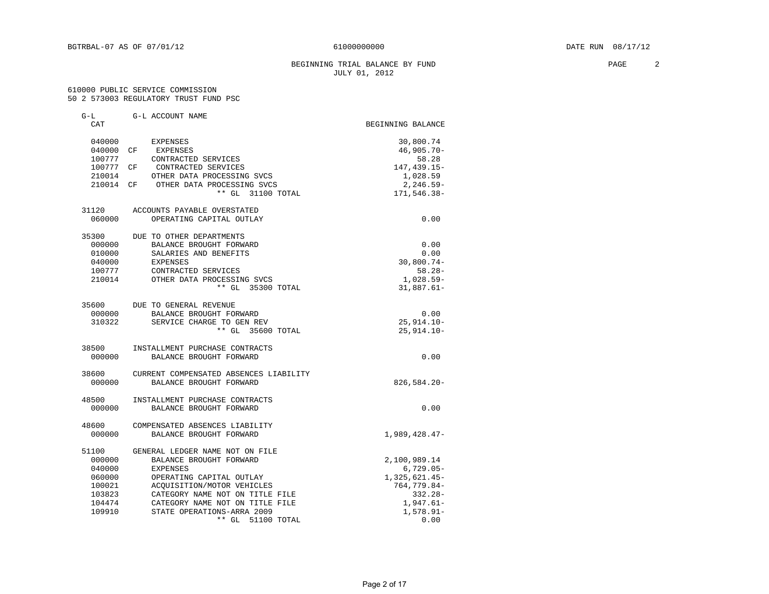#### BEGINNING TRIAL BALANCE BY FUND **PAGE** 2 JULY 01, 2012

#### 610000 PUBLIC SERVICE COMMISSION 50 2 573003 REGULATORY TRUST FUND PSC

| G-L       | G-L ACCOUNT NAME                       |                   |
|-----------|----------------------------------------|-------------------|
| CAT       |                                        | BEGINNING BALANCE |
| 040000    | EXPENSES                               | 30,800.74         |
| 040000 CF | EXPENSES                               | $46,905.70 -$     |
| 100777    | CONTRACTED SERVICES                    | 58.28             |
| 100777 CF | CONTRACTED SERVICES                    | 147,439.15-       |
| 210014    | OTHER DATA PROCESSING SVCS             | 1,028.59          |
|           | 210014 CF OTHER DATA PROCESSING SVCS   | $2, 246.59 -$     |
|           | 31100 TOTAL<br>$***$ GL                | 171,546.38-       |
| 31120     | ACCOUNTS PAYABLE OVERSTATED            |                   |
| 060000    | OPERATING CAPITAL OUTLAY               | 0.00              |
| 35300     | DUE TO OTHER DEPARTMENTS               |                   |
| 000000    | BALANCE BROUGHT FORWARD                | 0.00              |
| 010000    | SALARIES AND BENEFITS                  | 0.00              |
| 040000    | <b>EXPENSES</b>                        | $30,800.74-$      |
| 100777    | CONTRACTED SERVICES                    | $58.28 -$         |
| 210014    | OTHER DATA PROCESSING SVCS             | 1,028.59-         |
|           | ** GL 35300 TOTAL                      | $31,887.61 -$     |
| 35600     | DUE TO GENERAL REVENUE                 |                   |
| 000000    | BALANCE BROUGHT FORWARD                | 0.00              |
| 310322    | SERVICE CHARGE TO GEN REV              | 25,914.10-        |
|           | ** GL 35600 TOTAL                      | $25, 914.10 -$    |
| 38500     | INSTALLMENT PURCHASE CONTRACTS         |                   |
| 000000    | BALANCE BROUGHT FORWARD                | 0.00              |
| 38600     | CURRENT COMPENSATED ABSENCES LIABILITY |                   |
| 000000    | BALANCE BROUGHT FORWARD                | $826,584.20 -$    |
| 48500     | INSTALLMENT PURCHASE CONTRACTS         |                   |
| 000000    | BALANCE BROUGHT FORWARD                | 0.00              |
| 48600     | COMPENSATED ABSENCES LIABILITY         |                   |
| 000000    | BALANCE BROUGHT FORWARD                | $1,989,428.47-$   |
| 51100     | GENERAL LEDGER NAME NOT ON FILE        |                   |
| 000000    | BALANCE BROUGHT FORWARD                | 2,100,989.14      |
| 040000    | <b>EXPENSES</b>                        | $6,729.05-$       |
| 060000    | OPERATING CAPITAL OUTLAY               | 1,325,621.45-     |
| 100021    | ACOUISITION/MOTOR VEHICLES             | 764, 779.84-      |
| 103823    | CATEGORY NAME NOT ON TITLE FILE        | $332.28 -$        |
| 104474    | CATEGORY NAME NOT ON TITLE FILE        | $1,947.61-$       |
| 109910    | STATE OPERATIONS-ARRA 2009             | $1,578.91 -$      |
|           | ** GL 51100 TOTAL                      | 0.00              |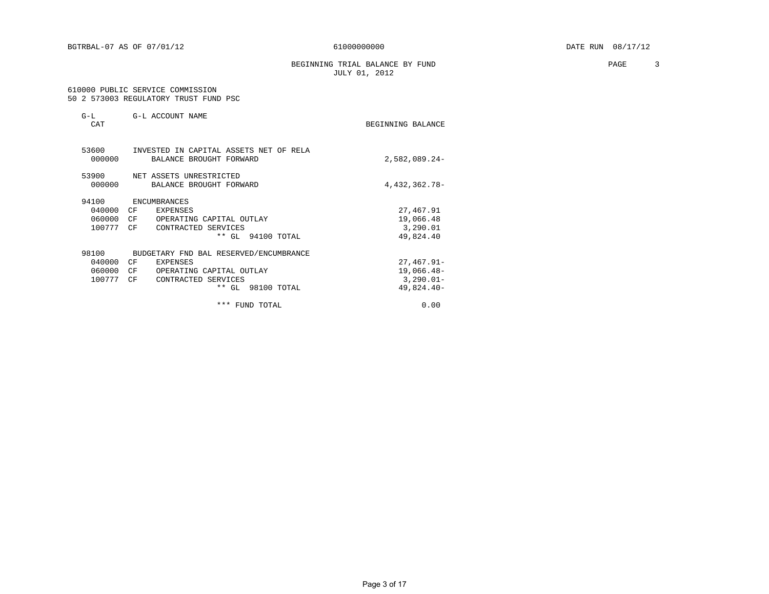BEGINNING TRIAL BALANCE BY FUND **PAGE** 3 JULY 01, 2012

#### 610000 PUBLIC SERVICE COMMISSION 50 2 573003 REGULATORY TRUST FUND PSC

| $G-L$<br>CAT                        | G-L ACCOUNT NAME                                                                                                                             | BEGINNING BALANCE                                         |
|-------------------------------------|----------------------------------------------------------------------------------------------------------------------------------------------|-----------------------------------------------------------|
| 53600<br>000000                     | INVESTED IN CAPITAL ASSETS NET OF RELA<br>BALANCE BROUGHT FORWARD                                                                            | $2,582,089.24-$                                           |
| 53900<br>000000                     | NET ASSETS UNRESTRICTED<br>BALANCE BROUGHT FORWARD                                                                                           | 4,432,362.78-                                             |
| 94100<br>040000<br>060000<br>100777 | ENCUMBRANCES<br>CF<br>EXPENSES<br>CF<br>OPERATING CAPITAL OUTLAY<br>CΕ<br>CONTRACTED SERVICES<br>** GL 94100 TOTAL                           | 27,467.91<br>19,066.48<br>3,290.01<br>49,824.40           |
| 98100<br>040000<br>060000<br>100777 | BUDGETARY FND BAL RESERVED/ENCUMBRANCE<br>CF<br>EXPENSES<br>CF<br>OPERATING CAPITAL OUTLAY<br>CF<br>CONTRACTED SERVICES<br>** GL 98100 TOTAL | $27,467.91 -$<br>19,066.48-<br>$3,290.01 -$<br>49,824.40- |
|                                     | *** FUND TOTAL                                                                                                                               | 0.00                                                      |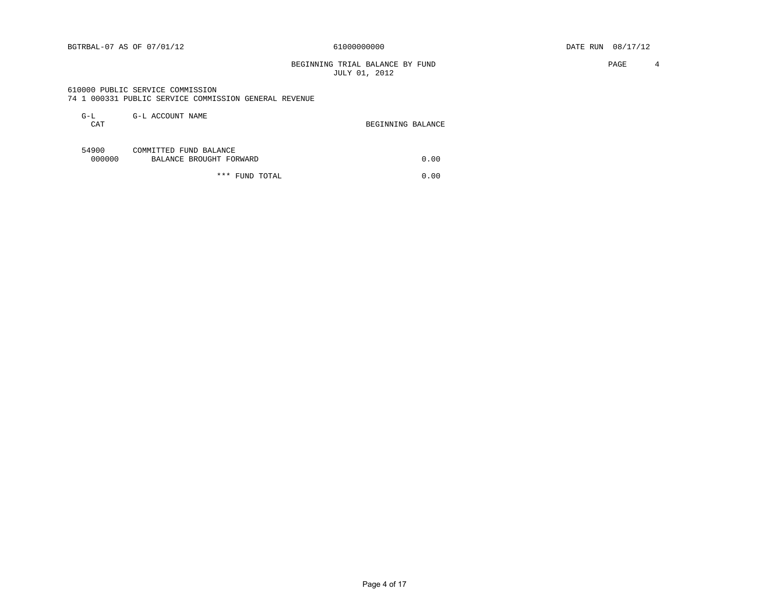BGTRBAL-07 AS OF 07/01/12 61000000000 DATE RUN 08/17/12

BEGINNING TRIAL BALANCE BY FUND **PAGE** 4 JULY 01, 2012

#### 610000 PUBLIC SERVICE COMMISSION 74 1 000331 PUBLIC SERVICE COMMISSION GENERAL REVENUE

| $G-L$<br>CAT    | G-L ACCOUNT NAME                                  | BEGINNING BALANCE |      |
|-----------------|---------------------------------------------------|-------------------|------|
| 54900<br>000000 | COMMITTED FUND BALANCE<br>BALANCE BROUGHT FORWARD |                   | 0.00 |
|                 | ***<br>TOTAL<br>FUND                              |                   | 0.00 |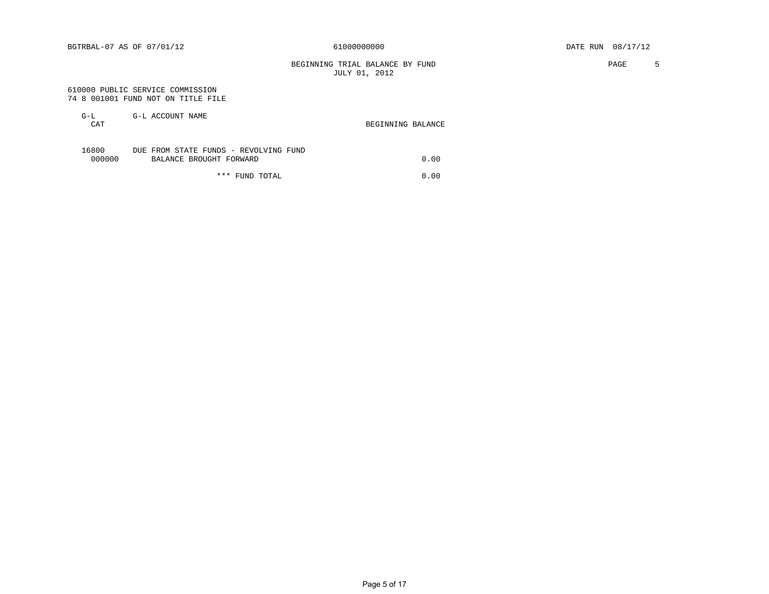BEGINNING TRIAL BALANCE BY FUND **PAGE** 5 JULY 01, 2012

#### 610000 PUBLIC SERVICE COMMISSION 74 8 001001 FUND NOT ON TITLE FILE

| G-L<br>CAT      | G-L ACCOUNT NAME                                                 | BEGINNING BALANCE |
|-----------------|------------------------------------------------------------------|-------------------|
| 16800<br>000000 | DUE FROM STATE FUNDS - REVOLVING FUND<br>BALANCE BROUGHT FORWARD | 0.00              |

\*\*\* FUND TOTAL 0.00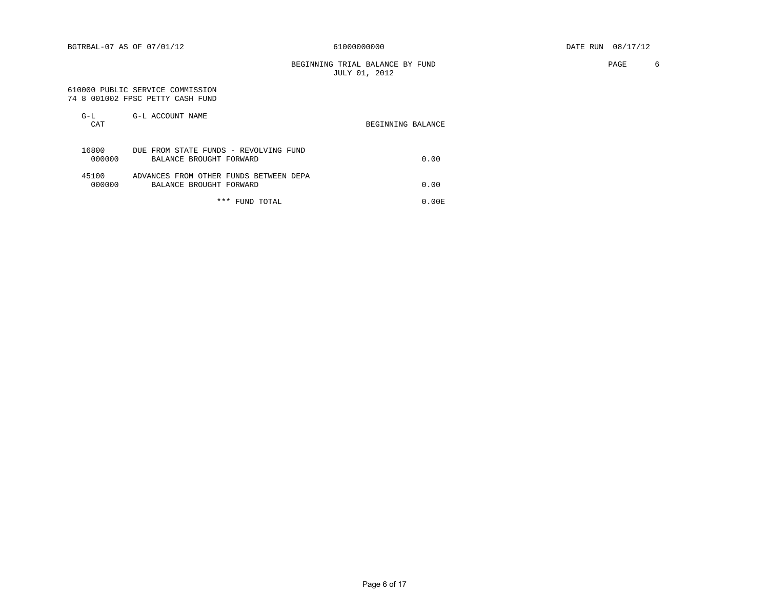BEGINNING TRIAL BALANCE BY FUND **PAGE** 6 JULY 01, 2012

Page 6 of 17

#### 610000 PUBLIC SERVICE COMMISSION 74 8 001002 FPSC PETTY CASH FUND

| $G-L$<br>CAT    | G-L ACCOUNT NAME                                                  | BEGINNING BALANCE |
|-----------------|-------------------------------------------------------------------|-------------------|
| 16800<br>000000 | DUE FROM STATE FUNDS - REVOLVING FUND<br>BALANCE BROUGHT FORWARD  | 0.00              |
| 45100<br>000000 | ADVANCES FROM OTHER FUNDS BETWEEN DEPA<br>BALANCE BROUGHT FORWARD | 0.00              |
|                 | *** FUND TOTAL                                                    | 0.00 E            |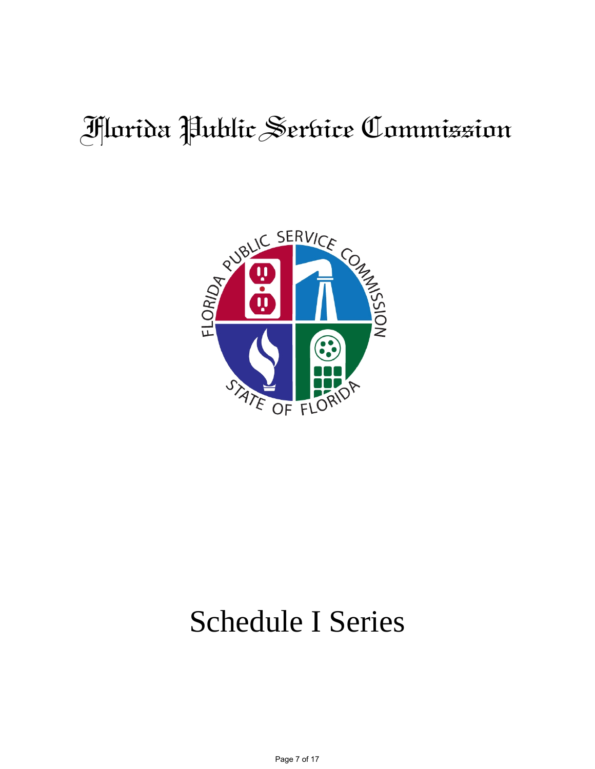# Florida Public Service Commission



# Schedule I Series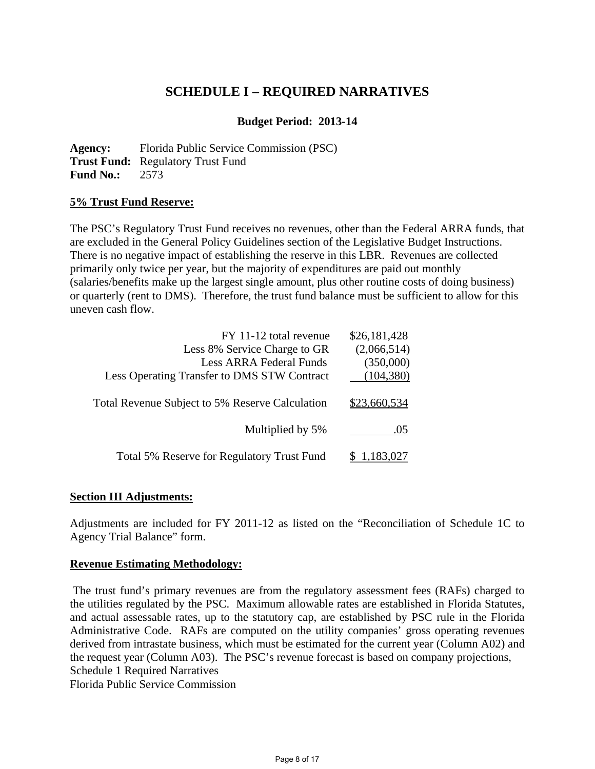## **SCHEDULE I – REQUIRED NARRATIVES**

## **Budget Period: 2013-14**

**Agency:** Florida Public Service Commission (PSC) **Trust Fund:** Regulatory Trust Fund **Fund No.:** 2573

#### **5% Trust Fund Reserve:**

The PSC's Regulatory Trust Fund receives no revenues, other than the Federal ARRA funds, that are excluded in the General Policy Guidelines section of the Legislative Budget Instructions. There is no negative impact of establishing the reserve in this LBR. Revenues are collected primarily only twice per year, but the majority of expenditures are paid out monthly (salaries/benefits make up the largest single amount, plus other routine costs of doing business) or quarterly (rent to DMS). Therefore, the trust fund balance must be sufficient to allow for this uneven cash flow.

| \$26,181,428 | FY 11-12 total revenue                          |
|--------------|-------------------------------------------------|
| (2,066,514)  | Less 8% Service Charge to GR                    |
| (350,000)    | <b>Less ARRA Federal Funds</b>                  |
| (104, 380)   | Less Operating Transfer to DMS STW Contract     |
| \$23,660,534 | Total Revenue Subject to 5% Reserve Calculation |
| .05          | Multiplied by 5%                                |
|              | Total 5% Reserve for Regulatory Trust Fund      |

#### **Section III Adjustments:**

Adjustments are included for FY 2011-12 as listed on the "Reconciliation of Schedule 1C to Agency Trial Balance" form.

#### **Revenue Estimating Methodology:**

 The trust fund's primary revenues are from the regulatory assessment fees (RAFs) charged to the utilities regulated by the PSC. Maximum allowable rates are established in Florida Statutes, and actual assessable rates, up to the statutory cap, are established by PSC rule in the Florida Administrative Code. RAFs are computed on the utility companies' gross operating revenues derived from intrastate business, which must be estimated for the current year (Column A02) and the request year (Column A03). The PSC's revenue forecast is based on company projections, Schedule 1 Required Narratives

Florida Public Service Commission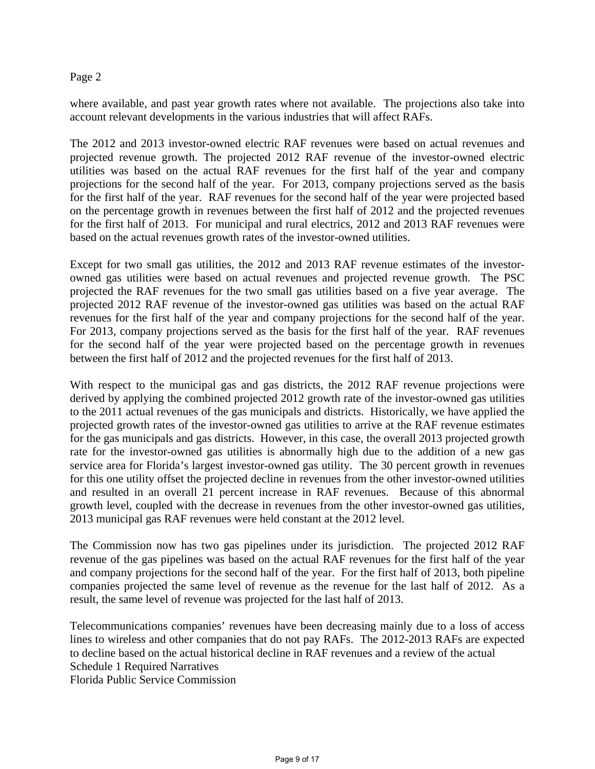#### Page 2

where available, and past year growth rates where not available. The projections also take into account relevant developments in the various industries that will affect RAFs.

The 2012 and 2013 investor-owned electric RAF revenues were based on actual revenues and projected revenue growth. The projected 2012 RAF revenue of the investor-owned electric utilities was based on the actual RAF revenues for the first half of the year and company projections for the second half of the year. For 2013, company projections served as the basis for the first half of the year. RAF revenues for the second half of the year were projected based on the percentage growth in revenues between the first half of 2012 and the projected revenues for the first half of 2013. For municipal and rural electrics, 2012 and 2013 RAF revenues were based on the actual revenues growth rates of the investor-owned utilities.

Except for two small gas utilities, the 2012 and 2013 RAF revenue estimates of the investorowned gas utilities were based on actual revenues and projected revenue growth. The PSC projected the RAF revenues for the two small gas utilities based on a five year average. The projected 2012 RAF revenue of the investor-owned gas utilities was based on the actual RAF revenues for the first half of the year and company projections for the second half of the year. For 2013, company projections served as the basis for the first half of the year. RAF revenues for the second half of the year were projected based on the percentage growth in revenues between the first half of 2012 and the projected revenues for the first half of 2013.

With respect to the municipal gas and gas districts, the 2012 RAF revenue projections were derived by applying the combined projected 2012 growth rate of the investor-owned gas utilities to the 2011 actual revenues of the gas municipals and districts. Historically, we have applied the projected growth rates of the investor-owned gas utilities to arrive at the RAF revenue estimates for the gas municipals and gas districts. However, in this case, the overall 2013 projected growth rate for the investor-owned gas utilities is abnormally high due to the addition of a new gas service area for Florida's largest investor-owned gas utility. The 30 percent growth in revenues for this one utility offset the projected decline in revenues from the other investor-owned utilities and resulted in an overall 21 percent increase in RAF revenues. Because of this abnormal growth level, coupled with the decrease in revenues from the other investor-owned gas utilities, 2013 municipal gas RAF revenues were held constant at the 2012 level.

The Commission now has two gas pipelines under its jurisdiction. The projected 2012 RAF revenue of the gas pipelines was based on the actual RAF revenues for the first half of the year and company projections for the second half of the year. For the first half of 2013, both pipeline companies projected the same level of revenue as the revenue for the last half of 2012. As a result, the same level of revenue was projected for the last half of 2013.

Telecommunications companies' revenues have been decreasing mainly due to a loss of access lines to wireless and other companies that do not pay RAFs. The 2012-2013 RAFs are expected to decline based on the actual historical decline in RAF revenues and a review of the actual Schedule 1 Required Narratives

Florida Public Service Commission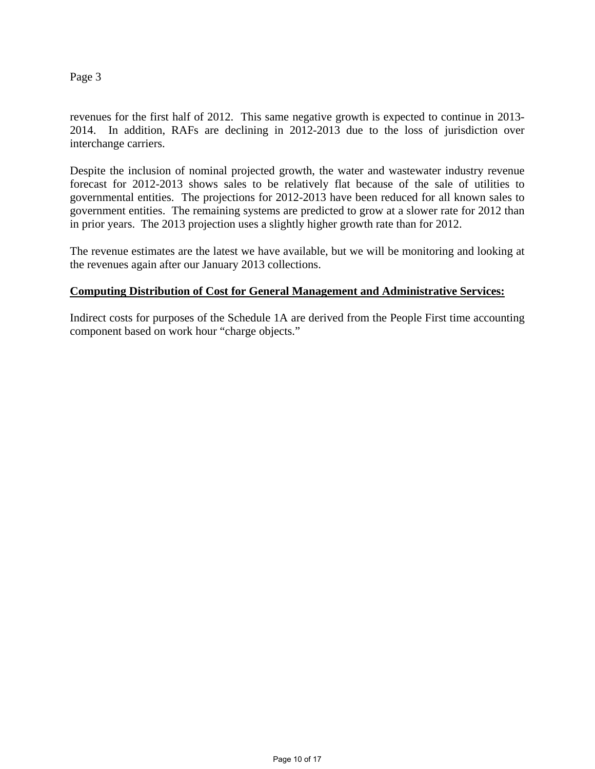#### Page 3

revenues for the first half of 2012. This same negative growth is expected to continue in 2013- 2014. In addition, RAFs are declining in 2012-2013 due to the loss of jurisdiction over interchange carriers.

Despite the inclusion of nominal projected growth, the water and wastewater industry revenue forecast for 2012-2013 shows sales to be relatively flat because of the sale of utilities to governmental entities. The projections for 2012-2013 have been reduced for all known sales to government entities. The remaining systems are predicted to grow at a slower rate for 2012 than in prior years. The 2013 projection uses a slightly higher growth rate than for 2012.

The revenue estimates are the latest we have available, but we will be monitoring and looking at the revenues again after our January 2013 collections.

#### **Computing Distribution of Cost for General Management and Administrative Services:**

Indirect costs for purposes of the Schedule 1A are derived from the People First time accounting component based on work hour "charge objects."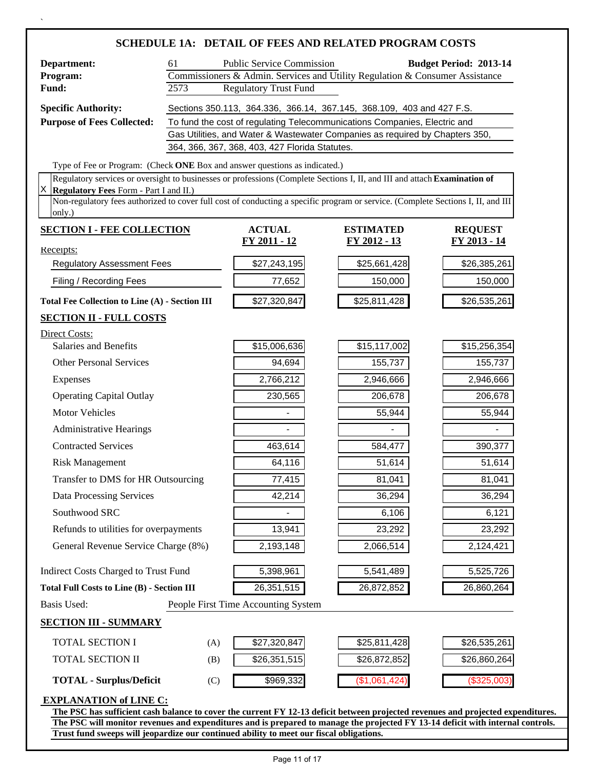|                                                                                                                                            |                                                                                                                                                                                                                                                                     |                                                | <b>SCHEDULE 1A: DETAIL OF FEES AND RELATED PROGRAM COSTS</b>                 |                               |  |
|--------------------------------------------------------------------------------------------------------------------------------------------|---------------------------------------------------------------------------------------------------------------------------------------------------------------------------------------------------------------------------------------------------------------------|------------------------------------------------|------------------------------------------------------------------------------|-------------------------------|--|
| Department:                                                                                                                                | 61                                                                                                                                                                                                                                                                  | <b>Public Service Commission</b>               |                                                                              | <b>Budget Period: 2013-14</b> |  |
| Program:                                                                                                                                   |                                                                                                                                                                                                                                                                     |                                                | Commissioners & Admin. Services and Utility Regulation & Consumer Assistance |                               |  |
| Fund:                                                                                                                                      | 2573                                                                                                                                                                                                                                                                | <b>Regulatory Trust Fund</b>                   |                                                                              |                               |  |
| <b>Specific Authority:</b>                                                                                                                 |                                                                                                                                                                                                                                                                     |                                                | Sections 350.113, 364.336, 366.14, 367.145, 368.109, 403 and 427 F.S.        |                               |  |
| <b>Purpose of Fees Collected:</b>                                                                                                          |                                                                                                                                                                                                                                                                     |                                                | To fund the cost of regulating Telecommunications Companies, Electric and    |                               |  |
|                                                                                                                                            |                                                                                                                                                                                                                                                                     | 364, 366, 367, 368, 403, 427 Florida Statutes. | Gas Utilities, and Water & Wastewater Companies as required by Chapters 350, |                               |  |
| Type of Fee or Program: (Check ONE Box and answer questions as indicated.)                                                                 |                                                                                                                                                                                                                                                                     |                                                |                                                                              |                               |  |
| Regulatory services or oversight to businesses or professions (Complete Sections I, II, and III and attach Examination of                  |                                                                                                                                                                                                                                                                     |                                                |                                                                              |                               |  |
| IХ<br>Regulatory Fees Form - Part I and II.)                                                                                               |                                                                                                                                                                                                                                                                     |                                                |                                                                              |                               |  |
| Non-regulatory fees authorized to cover full cost of conducting a specific program or service. (Complete Sections I, II, and III<br>only.) |                                                                                                                                                                                                                                                                     |                                                |                                                                              |                               |  |
| <b>SECTION I - FEE COLLECTION</b>                                                                                                          |                                                                                                                                                                                                                                                                     | <b>ACTUAL</b>                                  | <b>ESTIMATED</b>                                                             | <b>REQUEST</b>                |  |
| Receipts:                                                                                                                                  |                                                                                                                                                                                                                                                                     | <u>FY 2011 - 12</u>                            | <u>FY 2012 - 13</u>                                                          | FY 2013 - 14                  |  |
| <b>Regulatory Assessment Fees</b>                                                                                                          |                                                                                                                                                                                                                                                                     | \$27,243,195                                   | \$25,661,428                                                                 | \$26,385,261                  |  |
| Filing / Recording Fees                                                                                                                    |                                                                                                                                                                                                                                                                     | 77,652                                         | 150,000                                                                      | 150,000                       |  |
| Total Fee Collection to Line (A) - Section III                                                                                             |                                                                                                                                                                                                                                                                     | \$27,320,847                                   | \$25,811,428                                                                 | \$26,535,261                  |  |
| <b>SECTION II - FULL COSTS</b>                                                                                                             |                                                                                                                                                                                                                                                                     |                                                |                                                                              |                               |  |
| Direct Costs:                                                                                                                              |                                                                                                                                                                                                                                                                     |                                                |                                                                              |                               |  |
| Salaries and Benefits                                                                                                                      |                                                                                                                                                                                                                                                                     | \$15,006,636                                   | \$15,117,002                                                                 | \$15,256,354                  |  |
| <b>Other Personal Services</b>                                                                                                             |                                                                                                                                                                                                                                                                     | 94,694                                         | 155,737                                                                      | 155,737                       |  |
| Expenses                                                                                                                                   |                                                                                                                                                                                                                                                                     | 2,766,212                                      | 2,946,666                                                                    | 2,946,666                     |  |
| <b>Operating Capital Outlay</b>                                                                                                            |                                                                                                                                                                                                                                                                     | 230,565                                        | 206,678                                                                      | 206,678                       |  |
| <b>Motor Vehicles</b>                                                                                                                      |                                                                                                                                                                                                                                                                     |                                                | 55,944                                                                       | 55,944                        |  |
| <b>Administrative Hearings</b>                                                                                                             |                                                                                                                                                                                                                                                                     |                                                |                                                                              |                               |  |
| <b>Contracted Services</b>                                                                                                                 |                                                                                                                                                                                                                                                                     | 463,614                                        | 584,477                                                                      | 390,377                       |  |
| <b>Risk Management</b>                                                                                                                     |                                                                                                                                                                                                                                                                     | 64,116                                         | 51,614                                                                       | 51,614                        |  |
| Transfer to DMS for HR Outsourcing                                                                                                         |                                                                                                                                                                                                                                                                     | 77,415                                         | 81,041                                                                       | 81,041                        |  |
| Data Processing Services                                                                                                                   |                                                                                                                                                                                                                                                                     | 42,214                                         | 36,294                                                                       | 36,294                        |  |
| Southwood SRC                                                                                                                              |                                                                                                                                                                                                                                                                     |                                                | 6,106                                                                        | 6,121                         |  |
| Refunds to utilities for overpayments                                                                                                      |                                                                                                                                                                                                                                                                     | 13,941                                         | 23,292                                                                       | 23,292                        |  |
| General Revenue Service Charge (8%)                                                                                                        |                                                                                                                                                                                                                                                                     | 2,193,148                                      | 2,066,514                                                                    | 2,124,421                     |  |
| Indirect Costs Charged to Trust Fund                                                                                                       |                                                                                                                                                                                                                                                                     | 5,398,961                                      | 5,541,489                                                                    | 5,525,726                     |  |
| <b>Total Full Costs to Line (B) - Section III</b>                                                                                          |                                                                                                                                                                                                                                                                     | 26,351,515                                     | 26,872,852                                                                   | 26,860,264                    |  |
| Basis Used:                                                                                                                                |                                                                                                                                                                                                                                                                     | People First Time Accounting System            |                                                                              |                               |  |
| <b>SECTION III - SUMMARY</b>                                                                                                               |                                                                                                                                                                                                                                                                     |                                                |                                                                              |                               |  |
| TOTAL SECTION I                                                                                                                            | (A)                                                                                                                                                                                                                                                                 | \$27,320,847                                   | \$25,811,428                                                                 | \$26,535,261                  |  |
| TOTAL SECTION II                                                                                                                           | (B)                                                                                                                                                                                                                                                                 | \$26,351,515                                   | \$26,872,852                                                                 | \$26,860,264                  |  |
| <b>TOTAL - Surplus/Deficit</b>                                                                                                             | (C)                                                                                                                                                                                                                                                                 | \$969,332                                      | (\$1,061,424)                                                                | (\$325,003                    |  |
| <b>EXPLANATION of LINE C:</b>                                                                                                              |                                                                                                                                                                                                                                                                     |                                                |                                                                              |                               |  |
|                                                                                                                                            | The PSC has sufficient cash balance to cover the current FY 12-13 deficit between projected revenues and projected expenditures.<br>The PSC will monitor revenues and expenditures and is prepared to manage the projected FY 13-14 deficit with internal controls. |                                                |                                                                              |                               |  |

 $\ddot{\phantom{0}}$ 

**Trust fund sweeps will jeopardize our continued ability to meet our fiscal obligations.**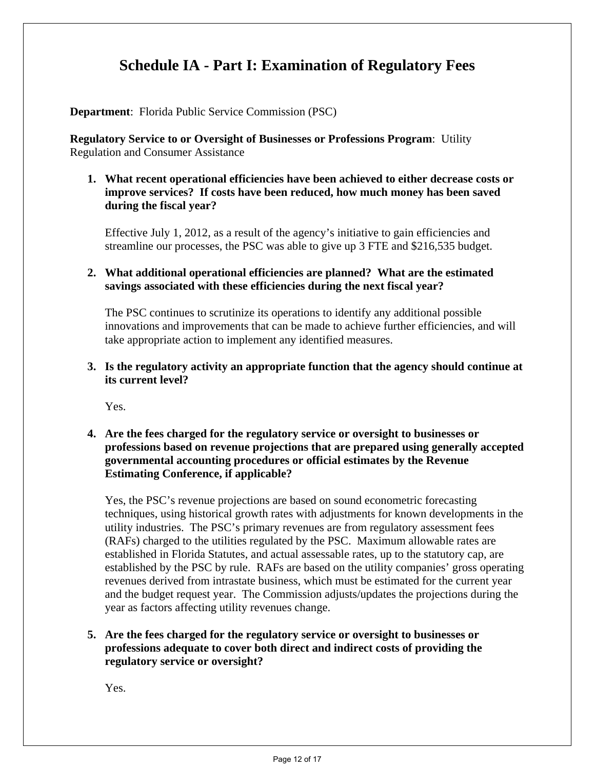# **Schedule IA - Part I: Examination of Regulatory Fees**

**Department**: Florida Public Service Commission (PSC)

**Regulatory Service to or Oversight of Businesses or Professions Program**: Utility Regulation and Consumer Assistance

## **1. What recent operational efficiencies have been achieved to either decrease costs or improve services? If costs have been reduced, how much money has been saved during the fiscal year?**

Effective July 1, 2012, as a result of the agency's initiative to gain efficiencies and streamline our processes, the PSC was able to give up 3 FTE and \$216,535 budget.

## **2. What additional operational efficiencies are planned? What are the estimated savings associated with these efficiencies during the next fiscal year?**

The PSC continues to scrutinize its operations to identify any additional possible innovations and improvements that can be made to achieve further efficiencies, and will take appropriate action to implement any identified measures.

### **3. Is the regulatory activity an appropriate function that the agency should continue at its current level?**

Yes.

## **4. Are the fees charged for the regulatory service or oversight to businesses or professions based on revenue projections that are prepared using generally accepted governmental accounting procedures or official estimates by the Revenue Estimating Conference, if applicable?**

Yes, the PSC's revenue projections are based on sound econometric forecasting techniques, using historical growth rates with adjustments for known developments in the utility industries. The PSC's primary revenues are from regulatory assessment fees (RAFs) charged to the utilities regulated by the PSC. Maximum allowable rates are established in Florida Statutes, and actual assessable rates, up to the statutory cap, are established by the PSC by rule. RAFs are based on the utility companies' gross operating revenues derived from intrastate business, which must be estimated for the current year and the budget request year. The Commission adjusts/updates the projections during the year as factors affecting utility revenues change.

## **5. Are the fees charged for the regulatory service or oversight to businesses or professions adequate to cover both direct and indirect costs of providing the regulatory service or oversight?**

Yes.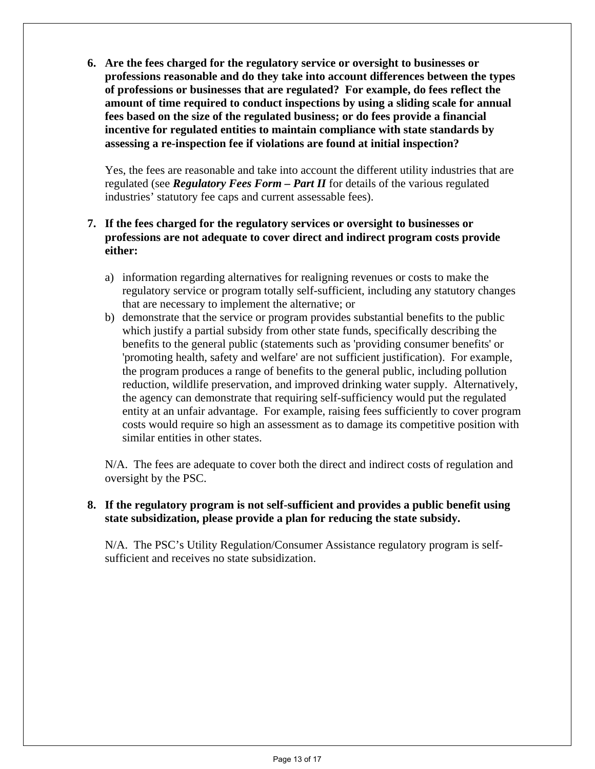**6. Are the fees charged for the regulatory service or oversight to businesses or professions reasonable and do they take into account differences between the types of professions or businesses that are regulated? For example, do fees reflect the amount of time required to conduct inspections by using a sliding scale for annual fees based on the size of the regulated business; or do fees provide a financial incentive for regulated entities to maintain compliance with state standards by assessing a re-inspection fee if violations are found at initial inspection?** 

Yes, the fees are reasonable and take into account the different utility industries that are regulated (see *Regulatory Fees Form – Part II* for details of the various regulated industries' statutory fee caps and current assessable fees).

## **7. If the fees charged for the regulatory services or oversight to businesses or professions are not adequate to cover direct and indirect program costs provide either:**

- a) information regarding alternatives for realigning revenues or costs to make the regulatory service or program totally self-sufficient, including any statutory changes that are necessary to implement the alternative; or
- b) demonstrate that the service or program provides substantial benefits to the public which justify a partial subsidy from other state funds, specifically describing the benefits to the general public (statements such as 'providing consumer benefits' or 'promoting health, safety and welfare' are not sufficient justification). For example, the program produces a range of benefits to the general public, including pollution reduction, wildlife preservation, and improved drinking water supply. Alternatively, the agency can demonstrate that requiring self-sufficiency would put the regulated entity at an unfair advantage. For example, raising fees sufficiently to cover program costs would require so high an assessment as to damage its competitive position with similar entities in other states.

N/A. The fees are adequate to cover both the direct and indirect costs of regulation and oversight by the PSC.

## **8. If the regulatory program is not self-sufficient and provides a public benefit using state subsidization, please provide a plan for reducing the state subsidy.**

N/A. The PSC's Utility Regulation/Consumer Assistance regulatory program is selfsufficient and receives no state subsidization.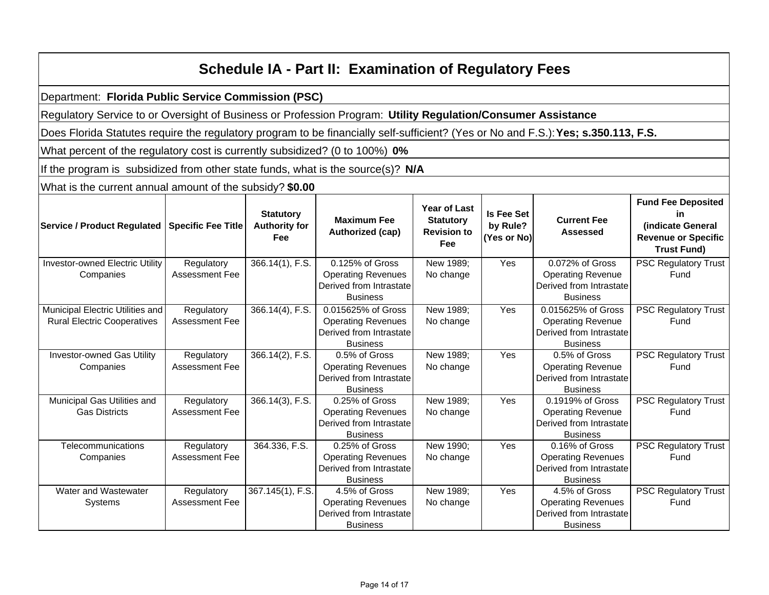| <b>Schedule IA - Part II: Examination of Regulatory Fees</b>                                                                       |                                     |                                                 |                                                                                               |                                                                      |                                              |                                                                                              |                                                                                                          |
|------------------------------------------------------------------------------------------------------------------------------------|-------------------------------------|-------------------------------------------------|-----------------------------------------------------------------------------------------------|----------------------------------------------------------------------|----------------------------------------------|----------------------------------------------------------------------------------------------|----------------------------------------------------------------------------------------------------------|
| Department: Florida Public Service Commission (PSC)                                                                                |                                     |                                                 |                                                                                               |                                                                      |                                              |                                                                                              |                                                                                                          |
| Regulatory Service to or Oversight of Business or Profession Program: Utility Regulation/Consumer Assistance                       |                                     |                                                 |                                                                                               |                                                                      |                                              |                                                                                              |                                                                                                          |
| Does Florida Statutes require the regulatory program to be financially self-sufficient? (Yes or No and F.S.): Yes; s.350.113, F.S. |                                     |                                                 |                                                                                               |                                                                      |                                              |                                                                                              |                                                                                                          |
| What percent of the regulatory cost is currently subsidized? (0 to 100%) 0%                                                        |                                     |                                                 |                                                                                               |                                                                      |                                              |                                                                                              |                                                                                                          |
| If the program is subsidized from other state funds, what is the source(s)? N/A                                                    |                                     |                                                 |                                                                                               |                                                                      |                                              |                                                                                              |                                                                                                          |
| What is the current annual amount of the subsidy? \$0.00                                                                           |                                     |                                                 |                                                                                               |                                                                      |                                              |                                                                                              |                                                                                                          |
| Service / Product Regulated   Specific Fee Title                                                                                   |                                     | <b>Statutory</b><br><b>Authority for</b><br>Fee | <b>Maximum Fee</b><br>Authorized (cap)                                                        | Year of Last<br><b>Statutory</b><br><b>Revision to</b><br><b>Fee</b> | <b>Is Fee Set</b><br>by Rule?<br>(Yes or No) | <b>Current Fee</b><br><b>Assessed</b>                                                        | <b>Fund Fee Deposited</b><br>in<br>(indicate General<br><b>Revenue or Specific</b><br><b>Trust Fund)</b> |
| <b>Investor-owned Electric Utility</b><br>Companies                                                                                | Regulatory<br><b>Assessment Fee</b> | 366.14(1), F.S.                                 | 0.125% of Gross<br><b>Operating Revenues</b><br>Derived from Intrastate<br><b>Business</b>    | New 1989;<br>No change                                               | $\overline{Yes}$                             | 0.072% of Gross<br><b>Operating Revenue</b><br>Derived from Intrastate<br><b>Business</b>    | <b>PSC Regulatory Trust</b><br>Fund                                                                      |
| Municipal Electric Utilities and<br><b>Rural Electric Cooperatives</b>                                                             | Regulatory<br>Assessment Fee        | $366.14(4)$ , F.S.                              | 0.015625% of Gross<br><b>Operating Revenues</b><br>Derived from Intrastate<br><b>Business</b> | New 1989;<br>No change                                               | Yes                                          | 0.015625% of Gross<br><b>Operating Revenue</b><br>Derived from Intrastate<br><b>Business</b> | <b>PSC Regulatory Trust</b><br>Fund                                                                      |
| <b>Investor-owned Gas Utility</b><br>Companies                                                                                     | Regulatory<br><b>Assessment Fee</b> | $366.14(2)$ , F.S.                              | 0.5% of Gross<br><b>Operating Revenues</b><br>Derived from Intrastate<br><b>Business</b>      | New 1989;<br>No change                                               | Yes                                          | 0.5% of Gross<br><b>Operating Revenue</b><br>Derived from Intrastate<br><b>Business</b>      | <b>PSC Regulatory Trust</b><br>Fund                                                                      |
| Municipal Gas Utilities and<br><b>Gas Districts</b>                                                                                | Regulatory<br>Assessment Fee        | 366.14(3), F.S.                                 | 0.25% of Gross<br><b>Operating Revenues</b><br>Derived from Intrastate<br><b>Business</b>     | New 1989;<br>No change                                               | Yes                                          | 0.1919% of Gross<br><b>Operating Revenue</b><br>Derived from Intrastate<br><b>Business</b>   | <b>PSC Regulatory Trust</b><br>Fund                                                                      |
| Telecommunications<br>Companies                                                                                                    | Regulatory<br><b>Assessment Fee</b> | 364.336, F.S.                                   | 0.25% of Gross<br><b>Operating Revenues</b><br>Derived from Intrastate<br><b>Business</b>     | New 1990;<br>No change                                               | Yes                                          | 0.16% of Gross<br><b>Operating Revenues</b><br>Derived from Intrastate<br><b>Business</b>    | <b>PSC Regulatory Trust</b><br>Fund                                                                      |
| Water and Wastewater<br>Systems                                                                                                    | Regulatory<br><b>Assessment Fee</b> | 367.145(1), F.S.                                | 4.5% of Gross<br><b>Operating Revenues</b><br>Derived from Intrastate<br><b>Business</b>      | New 1989;<br>No change                                               | Yes                                          | 4.5% of Gross<br><b>Operating Revenues</b><br>Derived from Intrastate<br><b>Business</b>     | <b>PSC Regulatory Trust</b><br>Fund                                                                      |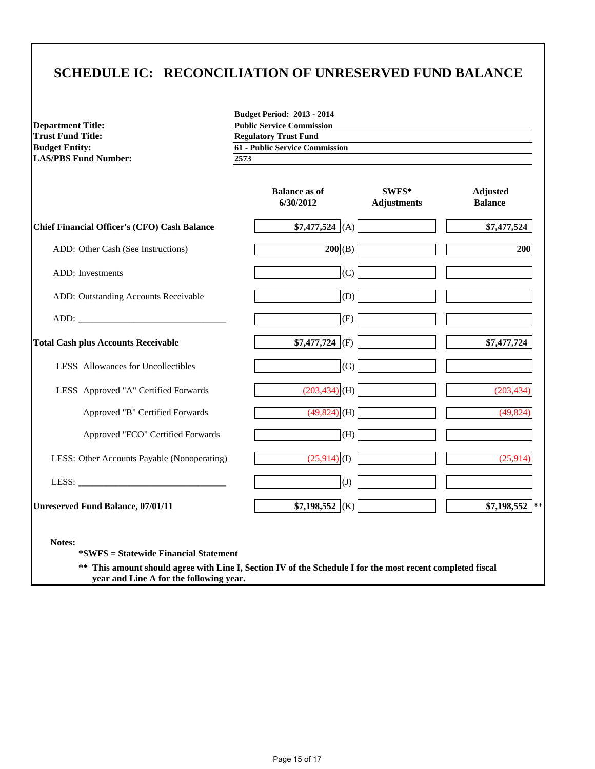## **SCHEDULE IC: RECONCILIATION OF UNRESERVED FUND BALANCE**

**LAS/PBS Fund Number: 2573**

**Budget Period: 2013 - 2014 Department Title: Public Service Commission**<br> **Public Service Commission**<br> **Public Service Commission**<br> **Public Service Commission Regulatory Trust Fund Budget Entity: 61 - Public Service Commission**

|                                                        | <b>Balance as of</b><br>6/30/2012 | SWFS*<br><b>Adjustments</b> | <b>Adjusted</b><br><b>Balance</b> |
|--------------------------------------------------------|-----------------------------------|-----------------------------|-----------------------------------|
| Chief Financial Officer's (CFO) Cash Balance           | $$7,477,524$ (A)                  |                             | \$7,477,524                       |
| ADD: Other Cash (See Instructions)                     | 200(B)                            |                             | 200                               |
| <b>ADD</b> : Investments                               | (C)                               |                             |                                   |
| ADD: Outstanding Accounts Receivable                   | (D)                               |                             |                                   |
|                                                        | (E)                               |                             |                                   |
| <b>Total Cash plus Accounts Receivable</b>             | $$7,477,724$ (F)                  |                             | \$7,477,724                       |
| LESS Allowances for Uncollectibles                     | (G)                               |                             |                                   |
| LESS Approved "A" Certified Forwards                   | $(203, 434)$ <sub>(H)</sub>       |                             | (203, 434)                        |
| Approved "B" Certified Forwards                        | $(49,824)$ (H)                    |                             | (49, 824)                         |
| Approved "FCO" Certified Forwards                      | (H)                               |                             |                                   |
| LESS: Other Accounts Payable (Nonoperating)            | $(25,914)$ (I)                    |                             | (25,914)                          |
|                                                        | (J)                               |                             |                                   |
| <b>Unreserved Fund Balance, 07/01/11</b>               | $$7,198,552$ (K)                  |                             | $$7,198,552$ **                   |
| Notes:<br><i>*SWFS</i> = Statewide Financial Statement |                                   |                             |                                   |

**\*\* This amount should agree with Line I, Section IV of the Schedule I for the most recent completed fiscal year and Line A for the following year.**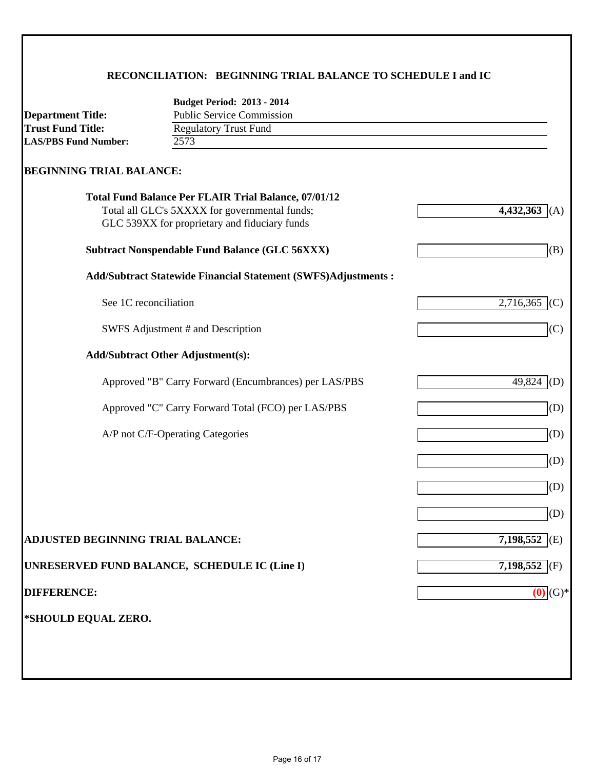## **RECONCILIATION: BEGINNING TRIAL BALANCE TO SCHEDULE I and IC**

|                                          | <b>Budget Period: 2013 - 2014</b>                                                                            |                  |
|------------------------------------------|--------------------------------------------------------------------------------------------------------------|------------------|
| <b>Department Title:</b>                 | <b>Public Service Commission</b>                                                                             |                  |
| <b>Trust Fund Title:</b>                 | <b>Regulatory Trust Fund</b>                                                                                 |                  |
| <b>LAS/PBS Fund Number:</b>              | 2573                                                                                                         |                  |
| <b>BEGINNING TRIAL BALANCE:</b>          |                                                                                                              |                  |
|                                          | <b>Total Fund Balance Per FLAIR Trial Balance, 07/01/12</b><br>Total all GLC's 5XXXX for governmental funds; | 4,432,363<br>(A) |
|                                          | GLC 539XX for proprietary and fiduciary funds                                                                |                  |
|                                          | <b>Subtract Nonspendable Fund Balance (GLC 56XXX)</b>                                                        | (B)              |
|                                          | <b>Add/Subtract Statewide Financial Statement (SWFS)Adjustments:</b>                                         |                  |
| See 1C reconciliation                    |                                                                                                              | $2,716,365$ (C)  |
|                                          | SWFS Adjustment # and Description                                                                            | (C)              |
|                                          | <b>Add/Subtract Other Adjustment(s):</b>                                                                     |                  |
|                                          | Approved "B" Carry Forward (Encumbrances) per LAS/PBS                                                        | 49,824<br>(D)    |
|                                          | Approved "C" Carry Forward Total (FCO) per LAS/PBS                                                           | (D)              |
|                                          | A/P not C/F-Operating Categories                                                                             | (D)              |
|                                          |                                                                                                              | (D)              |
|                                          |                                                                                                              | (D)              |
|                                          |                                                                                                              | (D)              |
| <b>ADJUSTED BEGINNING TRIAL BALANCE:</b> |                                                                                                              | $7,198,552$ (E)  |
|                                          | UNRESERVED FUND BALANCE, SCHEDULE IC (Line I)                                                                | 7,198,552 (F)    |
| <b>DIFFERENCE:</b>                       |                                                                                                              | (0)<br>$(G)*$    |
| *SHOULD EQUAL ZERO.                      |                                                                                                              |                  |
|                                          |                                                                                                              |                  |
|                                          |                                                                                                              |                  |